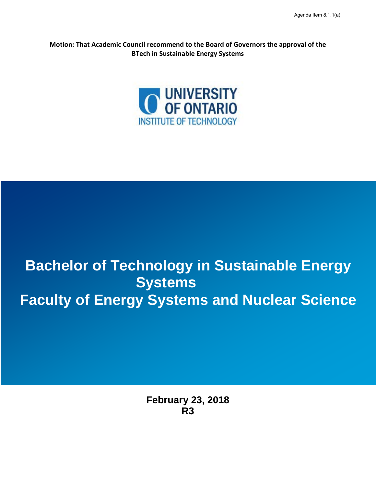**Motion: That Academic Council recommend to the Board of Governors the approval of the BTech in Sustainable Energy Systems**



# **Bachelor of Technology in Sustainable Energy**  S **Faculty of Energy Systems and Nuclear Science Systems**

**February 23, 2018 R3**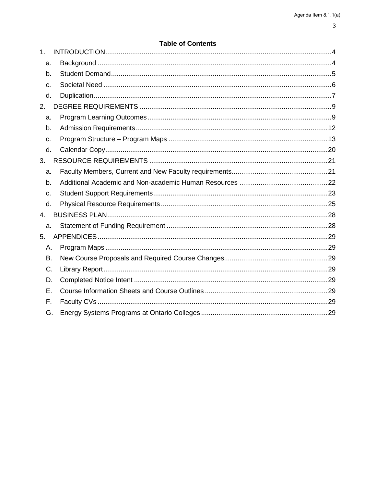| ۰.<br>۰, |    |
|----------|----|
|          |    |
|          | ۰. |
| ×        | ٠  |

|                | טוופ טו טטוונפוונ |  |
|----------------|-------------------|--|
| 1 <sub>1</sub> |                   |  |
| a.             |                   |  |
| b.             |                   |  |
| c.             |                   |  |
| d.             |                   |  |
| 2.             |                   |  |
| a.             |                   |  |
| b.             |                   |  |
| c.             |                   |  |
| d.             |                   |  |
| 3.             |                   |  |
| a.             |                   |  |
| b.             |                   |  |
| c.             |                   |  |
| d.             |                   |  |
| 4.             |                   |  |
| a.             |                   |  |
| 5.             |                   |  |
|                | А.                |  |
|                | В.                |  |
|                | C.                |  |
|                | D.                |  |
|                | Ε.                |  |
|                | F.                |  |
|                | G.                |  |
|                |                   |  |

### **Table of Contents**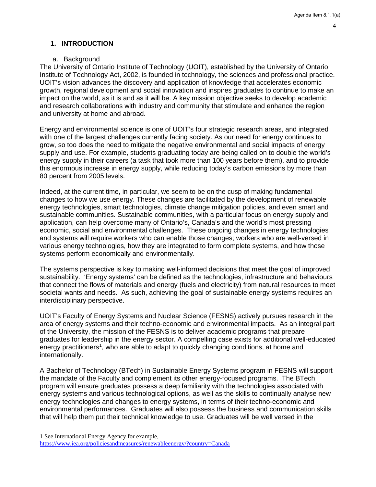# <span id="page-3-0"></span>**1. INTRODUCTION**

### a. Background

<span id="page-3-1"></span>The University of Ontario Institute of Technology (UOIT), established by the University of Ontario Institute of Technology Act, 2002, is founded in technology, the sciences and professional practice. UOIT's vision advances the discovery and application of knowledge that accelerates economic growth, regional development and social innovation and inspires graduates to continue to make an impact on the world, as it is and as it will be. A key mission objective seeks to develop academic and research collaborations with industry and community that stimulate and enhance the region and university at home and abroad.

Energy and environmental science is one of UOIT's four strategic research areas, and integrated with one of the largest challenges currently facing society. As our need for energy continues to grow, so too does the need to mitigate the negative environmental and social impacts of energy supply and use. For example, students graduating today are being called on to double the world's energy supply in their careers (a task that took more than 100 years before them), and to provide this enormous increase in energy supply, while reducing today's carbon emissions by more than 80 percent from 2005 levels.

Indeed, at the current time, in particular, we seem to be on the cusp of making fundamental changes to how we use energy. These changes are facilitated by the development of renewable energy technologies, smart technologies, climate change mitigation policies, and even smart and sustainable communities. Sustainable communities, with a particular focus on energy supply and application, can help overcome many of Ontario's, Canada's and the world's most pressing economic, social and environmental challenges. These ongoing changes in energy technologies and systems will require workers who can enable those changes; workers who are well-versed in various energy technologies, how they are integrated to form complete systems, and how those systems perform economically and environmentally.

The systems perspective is key to making well-informed decisions that meet the goal of improved sustainability. 'Energy systems' can be defined as the technologies, infrastructure and behaviours that connect the flows of materials and energy (fuels and electricity) from natural resources to meet societal wants and needs. As such, achieving the goal of sustainable energy systems requires an interdisciplinary perspective.

UOIT's Faculty of Energy Systems and Nuclear Science (FESNS) actively pursues research in the area of energy systems and their techno-economic and environmental impacts. As an integral part of the University, the mission of the FESNS is to deliver academic programs that prepare graduates for leadership in the energy sector. A compelling case exists for additional well-educated energy practitioners<sup>[1](#page-3-2)</sup>, who are able to adapt to quickly changing conditions, at home and internationally.

A Bachelor of Technology (BTech) in Sustainable Energy Systems program in FESNS will support the mandate of the Faculty and complement its other energy-focused programs. The BTech program will ensure graduates possess a deep familiarity with the technologies associated with energy systems and various technological options, as well as the skills to continually analyse new energy technologies and changes to energy systems, in terms of their techno-economic and environmental performances. Graduates will also possess the business and communication skills that will help them put their technical knowledge to use. Graduates will be well versed in the

-

<span id="page-3-2"></span><sup>1</sup> See International Energy Agency for example,

<https://www.iea.org/policiesandmeasures/renewableenergy/?country=Canada>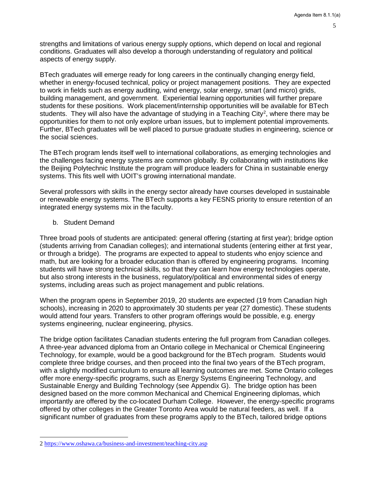strengths and limitations of various energy supply options, which depend on local and regional conditions. Graduates will also develop a thorough understanding of regulatory and political aspects of energy supply.

BTech graduates will emerge ready for long careers in the continually changing energy field, whether in energy-focused technical, policy or project management positions. They are expected to work in fields such as energy auditing, wind energy, solar energy, smart (and micro) grids, building management, and government. Experiential learning opportunities will further prepare students for these positions. Work placement/internship opportunities will be available for BTech students. They will also have the advantage of studying in a Teaching City<sup>[2](#page-4-1)</sup>, where there may be opportunities for them to not only explore urban issues, but to implement potential improvements. Further, BTech graduates will be well placed to pursue graduate studies in engineering, science or the social sciences.

The BTech program lends itself well to international collaborations, as emerging technologies and the challenges facing energy systems are common globally. By collaborating with institutions like the Beijing Polytechnic Institute the program will produce leaders for China in sustainable energy systems. This fits well with UOIT's growing international mandate.

Several professors with skills in the energy sector already have courses developed in sustainable or renewable energy systems. The BTech supports a key FESNS priority to ensure retention of an integrated energy systems mix in the faculty.

### <span id="page-4-0"></span>b. Student Demand

Three broad pools of students are anticipated: general offering (starting at first year); bridge option (students arriving from Canadian colleges); and international students (entering either at first year, or through a bridge). The programs are expected to appeal to students who enjoy science and math, but are looking for a broader education than is offered by engineering programs. Incoming students will have strong technical skills, so that they can learn how energy technologies operate, but also strong interests in the business, regulatory/political and environmental sides of energy systems, including areas such as project management and public relations.

When the program opens in September 2019, 20 students are expected (19 from Canadian high schools), increasing in 2020 to approximately 30 students per year (27 domestic). These students would attend four years. Transfers to other program offerings would be possible, e.g. energy systems engineering, nuclear engineering, physics.

The bridge option facilitates Canadian students entering the full program from Canadian colleges. A three-year advanced diploma from an Ontario college in Mechanical or Chemical Engineering Technology, for example, would be a good background for the BTech program. Students would complete three bridge courses, and then proceed into the final two years of the BTech program, with a slightly modified curriculum to ensure all learning outcomes are met. Some Ontario colleges offer more energy-specific programs, such as Energy Systems Engineering Technology, and Sustainable Energy and Building Technology (see Appendix G). The bridge option has been designed based on the more common Mechanical and Chemical Engineering diplomas, which importantly are offered by the co-located Durham College. However, the energy-specific programs offered by other colleges in the Greater Toronto Area would be natural feeders, as well. If a significant number of graduates from these programs apply to the BTech, tailored bridge options

l

<span id="page-4-1"></span><sup>2</sup><https://www.oshawa.ca/business-and-investment/teaching-city.asp>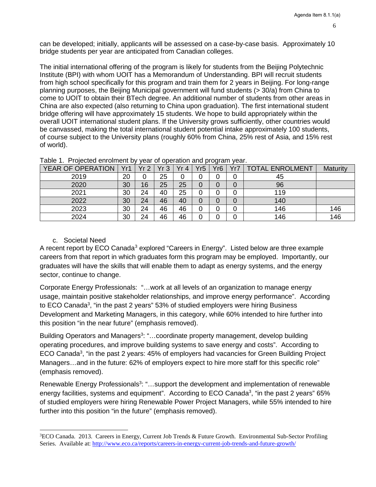can be developed; initially, applicants will be assessed on a case-by-case basis. Approximately 10 bridge students per year are anticipated from Canadian colleges.

The initial international offering of the program is likely for students from the Beijing Polytechnic Institute (BPI) with whom UOIT has a Memorandum of Understanding. BPI will recruit students from high school specifically for this program and train them for 2 years in Beijing. For long-range planning purposes, the Beijing Municipal government will fund students (> 30/a) from China to come to UOIT to obtain their BTech degree. An additional number of students from other areas in China are also expected (also returning to China upon graduation). The first international student bridge offering will have approximately 15 students. We hope to build appropriately within the overall UOIT international student plans. If the University grows sufficiently, other countries would be canvassed, making the total international student potential intake approximately 100 students, of course subject to the University plans (roughly 60% from China, 25% rest of Asia, and 15% rest of world).

| YEAR OF OPERATION | Yr1 | Yr <sub>2</sub> | Yr3 | Yr 4 | Yr5 | Yr <sub>6</sub> | Yr7 | <b>TOTAL ENROLMENT</b> | Maturity |
|-------------------|-----|-----------------|-----|------|-----|-----------------|-----|------------------------|----------|
| 2019              | 20  | 0               | 25  |      | 0   | 0               | 0   | 45                     |          |
| 2020              | 30  | 16              | 25  | 25   | 0   | 0               | 0   | 96                     |          |
| 2021              | 30  | 24              | 40  | 25   | 0   | 0               | 0   | 119                    |          |
| 2022              | 30  | 24              | 46  | 40   | 0   | 0               | 0   | 140                    |          |
| 2023              | 30  | 24              | 46  | 46   | 0   | 0               | 0   | 146                    | 146      |
| 2024              | 30  | 24              | 46  | 46   | 0   | 0               | 0   | 146                    | 146      |

|  |  | Table 1. Projected enrolment by year of operation and program year. |  |  |  |  |  |  |
|--|--|---------------------------------------------------------------------|--|--|--|--|--|--|
|--|--|---------------------------------------------------------------------|--|--|--|--|--|--|

### <span id="page-5-1"></span>c. Societal Need

-

<span id="page-5-0"></span>A recent report by ECO Canada<sup>[3](#page-5-2)</sup> explored "Careers in Energy". Listed below are three example careers from that report in which graduates form this program may be employed. Importantly, our graduates will have the skills that will enable them to adapt as energy systems, and the energy sector, continue to change.

Corporate Energy Professional[s:](#page-5-1) "…work at all levels of an organization to manage energy usage, maintain positive stakeholder relationships, and improve energy performance". According to ECO Canada<sup>3</sup>, "in the past 2 years" 53% of studied employers were hiring Business Development and Marketing Managers, in this category, while 60% intended to hire further into this position "in the near future" (emphasis removed).

Building Operators and Managers<sup>3</sup>: "...coordinate property management, develop building operating procedures, and improve building systems to save energy and costs". According to ECO Canada<sup>3</sup>, "in the past 2 years: 45% of employers had vacancies for Green Building Project Managers…and in the future: 62% of employers expect to hire more staff for this specific role" (emphasis removed).

Renewable Energy Professionals<sup>3</sup>: "...support the development and implementation of renewable energy facilities, systems and equipment". According to ECO Canada<sup>3</sup>, "in the past 2 years" 65% of studied employers were hiring Renewable Power Project Managers, while 55% intended to hire further into this position "in the future" (emphasis removed).

<span id="page-5-2"></span><sup>&</sup>lt;sup>3</sup>ECO Canada. 2013. Careers in Energy, Current Job Trends & Future Growth. Environmental Sub-Sector Profiling Series. Available at:<http://www.eco.ca/reports/careers-in-energy-current-job-trends-and-future-growth/>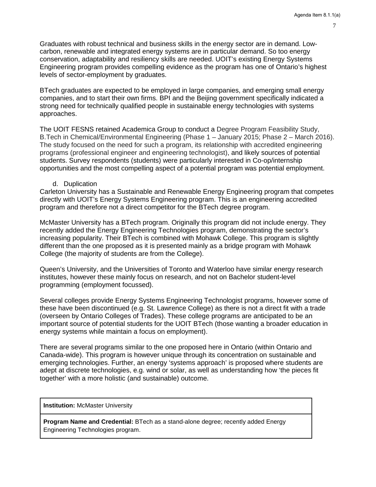Graduates with robust technical and business skills in the energy sector are in demand. Lowcarbon, renewable and integrated energy systems are in particular demand. So too energy conservation, adaptability and resiliency skills are needed. UOIT's existing Energy Systems Engineering program provides compelling evidence as the program has one of Ontario's highest levels of sector-employment by graduates.

BTech graduates are expected to be employed in large companies, and emerging small energy companies, and to start their own firms. BPI and the Beijing government specifically indicated a strong need for technically qualified people in sustainable energy technologies with systems approaches.

The UOIT FESNS retained Academica Group to conduct a Degree Program Feasibility Study, B.Tech in Chemical/Environmental Engineering (Phase 1 – January 2015; Phase 2 – March 2016). The study focused on the need for such a program, its relationship with accredited engineering programs (professional engineer and engineering technologist), and likely sources of potential students. Survey respondents (students) were particularly interested in Co-op/internship opportunities and the most compelling aspect of a potential program was potential employment.

#### d. Duplication

<span id="page-6-0"></span>Carleton University has a Sustainable and Renewable Energy Engineering program that competes directly with UOIT's Energy Systems Engineering program. This is an engineering accredited program and therefore not a direct competitor for the BTech degree program.

McMaster University has a BTech program. Originally this program did not include energy. They recently added the Energy Engineering Technologies program, demonstrating the sector's increasing popularity. Their BTech is combined with Mohawk College. This program is slightly different than the one proposed as it is presented mainly as a bridge program with Mohawk College (the majority of students are from the College).

Queen's University, and the Universities of Toronto and Waterloo have similar energy research institutes, however these mainly focus on research, and not on Bachelor student-level programming (employment focussed).

Several colleges provide Energy Systems Engineering Technologist programs, however some of these have been discontinued (e.g. St. Lawrence College) as there is not a direct fit with a trade (overseen by Ontario Colleges of Trades). These college programs are anticipated to be an important source of potential students for the UOIT BTech (those wanting a broader education in energy systems while maintain a focus on employment).

There are several programs similar to the one proposed here in Ontario (within Ontario and Canada-wide). This program is however unique through its concentration on sustainable and emerging technologies. Further, an energy 'systems approach' is proposed where students are adept at discrete technologies, e.g. wind or solar, as well as understanding how 'the pieces fit together' with a more holistic (and sustainable) outcome.

**Institution:** McMaster University

**Program Name and Credential:** BTech as a stand-alone degree; recently added Energy Engineering Technologies program.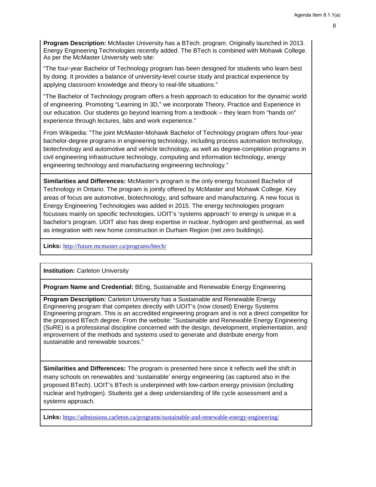**Program Description:** McMaster University has a BTech. program. Originally launched in 2013. Energy Engineering Technologies recently added. The BTech is combined with Mohawk College. As per the McMaster University web site:

"The four-year Bachelor of Technology program has been designed for students who learn best by doing. It provides a balance of university-level course study and practical experience by applying classroom knowledge and theory to real-life situations."

"The Bachelor of Technology program offers a fresh approach to education for the dynamic world of engineering. Promoting "Learning In 3D," we incorporate Theory, Practice and Experience in our education. Our students go beyond learning from a textbook – they learn from "hands on" experience through lectures, labs and work experience."

From Wikipedia: "The joint McMaster-Mohawk Bachelor of Technology program offers four-year bachelor-degree programs in engineering technology, including process automation technology, biotechnology and automotive and vehicle technology, as well as degree-completion programs in civil engineering infrastructure technology, computing and information technology, energy engineering technology and manufacturing engineering technology."

**Similarities and Differences:** McMaster's program is the only energy focussed Bachelor of Technology in Ontario. The program is jointly offered by McMaster and Mohawk College. Key areas of focus are automotive, biotechnology, and software and manufacturing. A new focus is Energy Engineering Technologies was added in 2015. The energy technologies program focusses mainly on specific technologies. UOIT's 'systems approach' to energy is unique in a bachelor's program. UOIT also has deep expertise in nuclear, hydrogen and geothermal, as well as integration with new home construction in Durham Region (net zero buildings).

**Links:** <http://future.mcmaster.ca/programs/btech/>

**Institution:** Carleton University

**Program Name and Credential:** BEng, Sustainable and Renewable Energy Engineering

**Program Description:** Carleton University has a Sustainable and Renewable Energy Engineering program that competes directly with UOIT's (now closed) Energy Systems Engineering program. This is an accredited engineering program and is not a direct competitor for the proposed BTech degree. From the website: "Sustainable and Renewable Energy Engineering (SuRE) is a professional discipline concerned with the design, development, implementation, and improvement of the methods and systems used to generate and distribute energy from sustainable and renewable sources."

**Similarities and Differences:** The program is presented here since it reflects well the shift in many schools on renewables and 'sustainable' energy engineering (as captured also in the proposed BTech). UOIT's BTech is underpinned with low-carbon energy provision (including nuclear and hydrogen). Students get a deep understanding of life cycle assessment and a systems approach.

**Links:** <https://admissions.carleton.ca/programs/sustainable-and-renewable-energy-engineering/>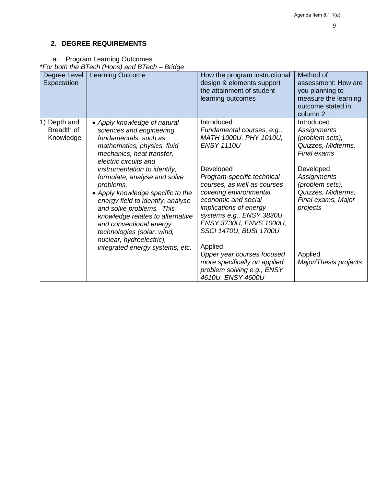# <span id="page-8-0"></span>**2. DEGREE REQUIREMENTS**

<span id="page-8-1"></span>a. Program Learning Outcomes

*\*For both the BTech (Hons) and BTech – Bridge*

| Degree Level<br>Expectation                | <b>Learning Outcome</b>                                                                                                                                                                                                                                                                                                                                                                                                                                                                                               | How the program instructional<br>design & elements support<br>the attainment of student<br>learning outcomes                                                                                                                                                                                                                                                                                                                                                       | Method of<br>assessment: How are<br>you planning to<br>measure the learning<br>outcome stated in<br>column 2                                                                                                                        |
|--------------------------------------------|-----------------------------------------------------------------------------------------------------------------------------------------------------------------------------------------------------------------------------------------------------------------------------------------------------------------------------------------------------------------------------------------------------------------------------------------------------------------------------------------------------------------------|--------------------------------------------------------------------------------------------------------------------------------------------------------------------------------------------------------------------------------------------------------------------------------------------------------------------------------------------------------------------------------------------------------------------------------------------------------------------|-------------------------------------------------------------------------------------------------------------------------------------------------------------------------------------------------------------------------------------|
| Depth and<br>1)<br>Breadth of<br>Knowledge | • Apply knowledge of natural<br>sciences and engineering<br>fundamentals, such as<br>mathematics, physics, fluid<br>mechanics, heat transfer,<br>electric circuits and<br>instrumentation to identify,<br>formulate, analyse and solve<br>problems.<br>• Apply knowledge specific to the<br>energy field to identify, analyse<br>and solve problems. This<br>knowledge relates to alternative<br>and conventional energy<br>technologies (solar, wind,<br>nuclear, hydroelectric),<br>integrated energy systems, etc. | Introduced<br>Fundamental courses, e.g.,<br>MATH 1000U, PHY 1010U,<br><b>ENSY 1110U</b><br>Developed<br>Program-specific technical<br>courses, as well as courses<br>covering environmental,<br>economic and social<br><i>implications of energy</i><br>systems e.g., ENSY 3830U,<br>ENSY 3730U, ENVS 1000U,<br>SSCI 1470U, BUSI 1700U<br>Applied<br>Upper year courses focused<br>more specifically on applied<br>problem solving e.g., ENSY<br>4610U, ENSY 4600U | Introduced<br>Assignments<br>(problem sets),<br>Quizzes, Midterms,<br>Final exams<br>Developed<br><b>Assignments</b><br>(problem sets),<br>Quizzes, Midterms,<br>Final exams, Major<br>projects<br>Applied<br>Major/Thesis projects |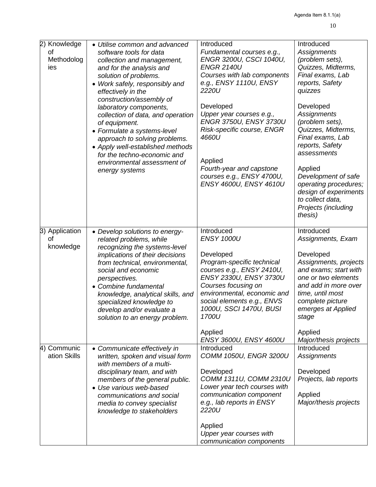| 2) Knowledge<br>οf<br>Methodolog<br>ies | • Utilise common and advanced<br>software tools for data<br>collection and management,<br>and for the analysis and<br>solution of problems.<br>• Work safely, responsibly and<br>effectively in the<br>construction/assembly of<br>laboratory components,<br>collection of data, and operation<br>of equipment.<br>• Formulate a systems-level<br>approach to solving problems.<br>• Apply well-established methods<br>for the techno-economic and<br>environmental assessment of<br>energy systems | Introduced<br>Fundamental courses e.g.,<br>ENGR 3200U, CSCI 1040U,<br><b>ENGR 2140U</b><br>Courses with lab components<br>e.g., ENSY 1110U, ENSY<br>2220U<br>Developed<br>Upper year courses e.g.,<br>ENGR 3750U, ENSY 3730U<br>Risk-specific course, ENGR<br>4660U<br>Applied<br>Fourth-year and capstone<br>courses e.g., ENSY 4700U,<br>ENSY 4600U, ENSY 4610U | Introduced<br><b>Assignments</b><br>(problem sets),<br>Quizzes, Midterms,<br>Final exams, Lab<br>reports, Safety<br>quizzes<br>Developed<br><b>Assignments</b><br>(problem sets),<br>Quizzes, Midterms,<br>Final exams, Lab<br>reports, Safety<br>assessments<br>Applied<br>Development of safe<br>operating procedures;<br>design of experiments<br>to collect data,<br>Projects (including<br>thesis) |
|-----------------------------------------|-----------------------------------------------------------------------------------------------------------------------------------------------------------------------------------------------------------------------------------------------------------------------------------------------------------------------------------------------------------------------------------------------------------------------------------------------------------------------------------------------------|-------------------------------------------------------------------------------------------------------------------------------------------------------------------------------------------------------------------------------------------------------------------------------------------------------------------------------------------------------------------|---------------------------------------------------------------------------------------------------------------------------------------------------------------------------------------------------------------------------------------------------------------------------------------------------------------------------------------------------------------------------------------------------------|
| 3) Application<br>Ωf<br>knowledge       | • Develop solutions to energy-<br>related problems, while<br>recognizing the systems-level<br>implications of their decisions<br>from technical, environmental,<br>social and economic<br>perspectives.<br>• Combine fundamental<br>knowledge, analytical skills, and<br>specialized knowledge to<br>develop and/or evaluate a<br>solution to an energy problem.                                                                                                                                    | Introduced<br><b>ENSY 1000U</b><br>Developed<br>Program-specific technical<br>courses e.g., ENSY 2410U,<br>ENSY 2330U, ENSY 3730U<br>Courses focusing on<br>environmental, economic and<br>social elements e.g., ENVS<br>1000U, SSCI 1470U, BUSI<br>1700U<br>Applied<br>ENSY 3600U, ENSY 4600U                                                                    | Introduced<br>Assignments, Exam<br>Developed<br>Assignments, projects<br>and exams; start with<br>one or two elements<br>and add in more over<br>time, until most<br>complete picture<br>emerges at Applied<br>stage<br>Applied<br>Major/thesis projects                                                                                                                                                |
| 4) Communic<br>ation Skills             | • Communicate effectively in<br>written, spoken and visual form<br>with members of a multi-<br>disciplinary team, and with<br>members of the general public.<br>• Use various web-based<br>communications and social<br>media to convey specialist<br>knowledge to stakeholders                                                                                                                                                                                                                     | Introduced<br>COMM 1050U, ENGR 3200U<br>Developed<br>COMM 1311U, COMM 2310U<br>Lower year tech courses with<br>communication component<br>e.g., lab reports in ENSY<br>2220U<br>Applied<br>Upper year courses with<br>communication components                                                                                                                    | Introduced<br>Assignments<br>Developed<br>Projects, lab reports<br>Applied<br>Major/thesis projects                                                                                                                                                                                                                                                                                                     |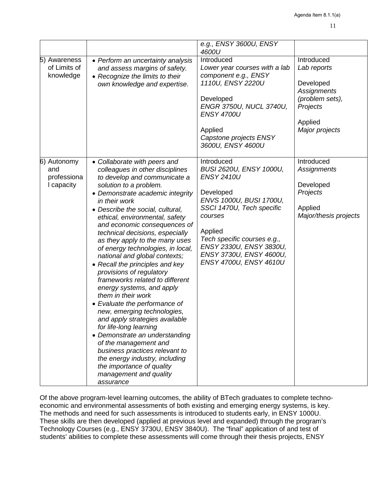| 5) Awareness<br>of Limits of<br>knowledge       | • Perform an uncertainty analysis<br>and assess margins of safety.<br>• Recognize the limits to their<br>own knowledge and expertise.                                                                                                                                                                                                                                                                                                                                                                                                                                                                                                                                                                                                                                                                                                                                                                               | e.g., ENSY 3600U, ENSY<br>4600U<br>Introduced<br>Lower year courses with a lab<br>component e.g., ENSY<br>1110U, ENSY 2220U<br>Developed<br>ENGR 3750U, NUCL 3740U,<br><b>ENSY 4700U</b><br>Applied<br>Capstone projects ENSY<br>3600U, ENSY 4600U                   | Introduced<br>Lab reports<br>Developed<br><b>Assignments</b><br>(problem sets),<br>Projects<br>Applied<br>Major projects |
|-------------------------------------------------|---------------------------------------------------------------------------------------------------------------------------------------------------------------------------------------------------------------------------------------------------------------------------------------------------------------------------------------------------------------------------------------------------------------------------------------------------------------------------------------------------------------------------------------------------------------------------------------------------------------------------------------------------------------------------------------------------------------------------------------------------------------------------------------------------------------------------------------------------------------------------------------------------------------------|----------------------------------------------------------------------------------------------------------------------------------------------------------------------------------------------------------------------------------------------------------------------|--------------------------------------------------------------------------------------------------------------------------|
| 6) Autonomy<br>and<br>professiona<br>I capacity | • Collaborate with peers and<br>colleagues in other disciplines<br>to develop and communicate a<br>solution to a problem.<br>• Demonstrate academic integrity<br>in their work<br>• Describe the social, cultural,<br>ethical, environmental, safety<br>and economic consequences of<br>technical decisions, especially<br>as they apply to the many uses<br>of energy technologies, in local,<br>national and global contexts;<br>• Recall the principles and key<br>provisions of regulatory<br>frameworks related to different<br>energy systems, and apply<br>them in their work<br>• Evaluate the performance of<br>new, emerging technologies,<br>and apply strategies available<br>for life-long learning<br>• Demonstrate an understanding<br>of the management and<br>business practices relevant to<br>the energy industry, including<br>the importance of quality<br>management and quality<br>assurance | Introduced<br>BUSI 2620U, ENSY 1000U,<br><b>ENSY 2410U</b><br>Developed<br>ENVS 1000U, BUSI 1700U,<br>SSCI 1470U, Tech specific<br>courses<br>Applied<br>Tech specific courses e.g.,<br>ENSY 2330U, ENSY 3830U,<br>ENSY 3730U, ENSY 4600U,<br>ENSY 4700U, ENSY 4610U | Introduced<br><b>Assignments</b><br>Developed<br>Projects<br>Applied<br>Major/thesis projects                            |

Of the above program-level learning outcomes, the ability of BTech graduates to complete technoeconomic and environmental assessments of both existing and emerging energy systems, is key. The methods and need for such assessments is introduced to students early, in ENSY 1000U. These skills are then developed (applied at previous level and expanded) through the program's Technology Courses (e.g., ENSY 3730U, ENSY 3840U). The "final" application of and test of students' abilities to complete these assessments will come through their thesis projects, ENSY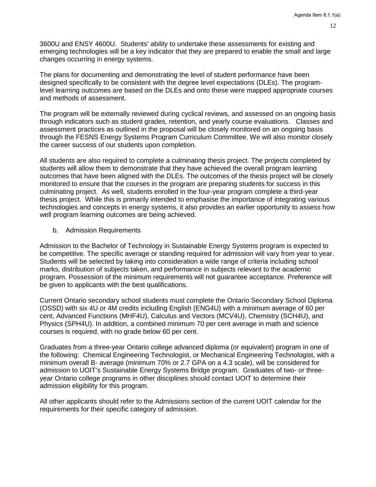3600U and ENSY 4600U. Students' ability to undertake these assessments for existing and emerging technologies will be a key indicator that they are prepared to enable the small and large changes occurring in energy systems.

The plans for documenting and demonstrating the level of student performance have been designed specifically to be consistent with the degree level expectations (DLEs). The programlevel learning outcomes are based on the DLEs and onto these were mapped appropriate courses and methods of assessment.

The program will be externally reviewed during cyclical reviews, and assessed on an ongoing basis through indicators such as student grades, retention, and yearly course evaluations. Classes and assessment practices as outlined in the proposal will be closely monitored on an ongoing basis through the FESNS Energy Systems Program Curriculum Committee. We will also monitor closely the career success of our students upon completion.

All students are also required to complete a culminating thesis project. The projects completed by students will allow them to demonstrate that they have achieved the overall program learning outcomes that have been aligned with the DLEs. The outcomes of the thesis project will be closely monitored to ensure that the courses in the program are preparing students for success in this culminating project. As well, students enrolled in the four-year program complete a third-year thesis project. While this is primarily intended to emphasise the importance of integrating various technologies and concepts in energy systems, it also provides an earlier opportunity to assess how well program learning outcomes are being achieved.

<span id="page-11-0"></span>b. Admission Requirements

Admission to the Bachelor of Technology in Sustainable Energy Systems program is expected to be competitive. The specific average or standing required for admission will vary from year to year. Students will be selected by taking into consideration a wide range of criteria including school marks, distribution of subjects taken, and performance in subjects relevant to the academic program. Possession of the minimum requirements will not guarantee acceptance. Preference will be given to applicants with the best qualifications.

Current Ontario secondary school students must complete the Ontario Secondary School Diploma (OSSD) with six 4U or 4M credits including English (ENG4U) with a minimum average of 60 per cent, Advanced Functions (MHF4U), Calculus and Vectors (MCV4U), Chemistry (SCH4U), and Physics (SPH4U). In addition, a combined minimum 70 per cent average in math and science courses is required, with no grade below 60 per cent.

Graduates from a three-year Ontario college advanced diploma (or equivalent) program in one of the following: Chemical Engineering Technologist, or Mechanical Engineering Technologist, with a minimum overall B- average (minimum 70% or 2.7 GPA on a 4.3 scale), will be considered for admission to UOIT's Sustainable Energy Systems Bridge program. Graduates of two- or threeyear Ontario college programs in other disciplines should contact UOIT to determine their admission eligibility for this program.

All other applicants should refer to the Admissions section of the current UOIT calendar for the requirements for their specific category of admission.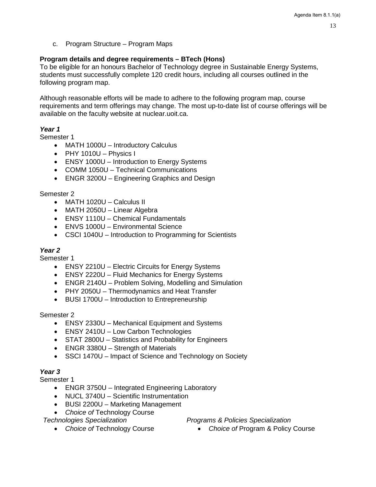<span id="page-12-0"></span>c. Program Structure – Program Maps

# **Program details and degree requirements – BTech (Hons)**

To be eligible for an honours Bachelor of Technology degree in Sustainable Energy Systems, students must successfully complete 120 credit hours, including all courses outlined in the following program map.

Although reasonable efforts will be made to adhere to the following program map, course requirements and term offerings may change. The most up-to-date list of course offerings will be available on the faculty website at nuclear.uoit.ca.

## *Year 1*

Semester 1

- MATH 1000U Introductory Calculus
- PHY 1010U Physics I
- ENSY 1000U Introduction to Energy Systems
- COMM 1050U Technical Communications
- ENGR 3200U Engineering Graphics and Design

### Semester 2

- MATH 1020U Calculus II
- MATH 2050U Linear Algebra
- ENSY 1110U Chemical Fundamentals
- ENVS 1000U Environmental Science
- CSCI 1040U Introduction to Programming for Scientists

# *Year 2*

Semester 1

- ENSY 2210U Electric Circuits for Energy Systems
- ENSY 2220U Fluid Mechanics for Energy Systems
- ENGR 2140U Problem Solving, Modelling and Simulation
- PHY 2050U Thermodynamics and Heat Transfer
- BUSI 1700U Introduction to Entrepreneurship

### Semester 2

- ENSY 2330U Mechanical Equipment and Systems
- ENSY 2410U Low Carbon Technologies
- STAT 2800U Statistics and Probability for Engineers
- ENGR 3380U Strength of Materials
- SSCI 1470U Impact of Science and Technology on Society

# *Year 3*

Semester 1

- ENGR 3750U Integrated Engineering Laboratory
- NUCL 3740U Scientific Instrumentation
- BUSI 2200U Marketing Management
- *Choice of* Technology Course

*Technologies Specialization*

- *Choice of* Technology Course
- *Programs & Policies Specialization*
	- *Choice of* Program & Policy Course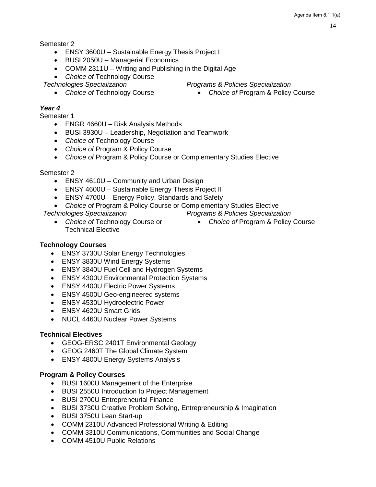Semester 2

- ENSY 3600U Sustainable Energy Thesis Project I
- BUSI 2050U Managerial Economics
- COMM 2311U Writing and Publishing in the Digital Age
- *Choice of* Technology Course

*Technologies Specialization*

• *Choice of* Technology Course

# *Year 4*

Semester 1

- ENGR 4660U Risk Analysis Methods
- BUSI 3930U Leadership, Negotiation and Teamwork
- *Choice of* Technology Course
- *Choice of* Program & Policy Course
- *Choice of* Program & Policy Course or Complementary Studies Elective

## Semester 2

- ENSY 4610U Community and Urban Design
- ENSY 4600U Sustainable Energy Thesis Project II
- ENSY 4700U Energy Policy, Standards and Safety
- *Choice of* Program & Policy Course or Complementary Studies Elective

# *Technologies Specialization*

- *Choice of* Technology Course or Technical Elective
- *Programs & Policies Specialization* • *Choice of* Program & Policy Course

# **Technology Courses**

- ENSY 3730U Solar Energy Technologies
- ENSY 3830U Wind Energy Systems
- ENSY 3840U Fuel Cell and Hydrogen Systems
- ENSY 4300U Environmental Protection Systems
- ENSY 4400U Electric Power Systems
- ENSY 4500U Geo-engineered systems
- ENSY 4530U Hydroelectric Power
- ENSY 4620U Smart Grids
- NUCL 4460U Nuclear Power Systems

# **Technical Electives**

- GEOG-ERSC 2401T Environmental Geology
- GEOG 2460T The Global Climate System
- ENSY 4800U Energy Systems Analysis

# **Program & Policy Courses**

- BUSI 1600U Management of the Enterprise
- BUSI 2550U Introduction to Project Management
- BUSI 2700U Entrepreneurial Finance
- BUSI 3730U Creative Problem Solving, Entrepreneurship & Imagination
- BUSI 3750U Lean Start-up
- COMM 2310U Advanced Professional Writing & Editing
- COMM 3310U Communications, Communities and Social Change
- COMM 4510U Public Relations
- *Programs & Policies Specialization*
	- *Choice of* Program & Policy Course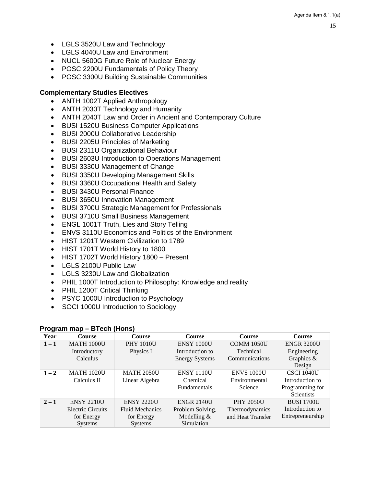- LGLS 3520U Law and Technology
- LGLS 4040U Law and Environment
- NUCL 5600G Future Role of Nuclear Energy
- POSC 2200U Fundamentals of Policy Theory
- POSC 3300U Building Sustainable Communities

# **Complementary Studies Electives**

- ANTH 1002T Applied Anthropology
- ANTH 2030T Technology and Humanity
- ANTH 2040T Law and Order in Ancient and Contemporary Culture
- BUSI 1520U Business Computer Applications
- BUSI 2000U Collaborative Leadership
- BUSI 2205U Principles of Marketing
- BUSI 2311U Organizational Behaviour
- BUSI 2603U Introduction to Operations Management
- BUSI 3330U Management of Change
- BUSI 3350U Developing Management Skills
- BUSI 3360U Occupational Health and Safety
- BUSI 3430U Personal Finance
- BUSI 3650U Innovation Management
- BUSI 3700U Strategic Management for Professionals
- BUSI 3710U Small Business Management
- ENGL 1001T Truth, Lies and Story Telling
- ENVS 3110U Economics and Politics of the Environment
- HIST 1201T Western Civilization to 1789
- HIST 1701T World History to 1800
- HIST 1702T World History 1800 Present
- LGLS 2100U Public Law
- LGLS 3230U Law and Globalization
- PHIL 1000T Introduction to Philosophy: Knowledge and reality
- PHIL 1200T Critical Thinking
- PSYC 1000U Introduction to Psychology
- SOCI 1000U Introduction to Sociology

# **Program map – BTech (Hons)**

| Year    | <b>Course</b>            | <b>Course</b>          | <b>Course</b>         | <b>Course</b>     | <b>Course</b>     |
|---------|--------------------------|------------------------|-----------------------|-------------------|-------------------|
| $1 - 1$ | <b>MATH 1000U</b>        | <b>PHY 1010U</b>       | <b>ENSY 1000U</b>     | <b>COMM 1050U</b> | <b>ENGR 3200U</b> |
|         | Introductory             | Physics I              | Introduction to       | Technical         | Engineering       |
|         | Calculus                 |                        | <b>Energy Systems</b> | Communications    | Graphics &        |
|         |                          |                        |                       |                   | Design            |
| $1 - 2$ | <b>MATH 1020U</b>        | <b>MATH 2050U</b>      | <b>ENSY 1110U</b>     | <b>ENVS 1000U</b> | <b>CSCI 1040U</b> |
|         | Calculus II              | Linear Algebra         | Chemical              | Environmental     | Introduction to   |
|         |                          |                        | <b>Fundamentals</b>   | Science           | Programming for   |
|         |                          |                        |                       |                   | <b>Scientists</b> |
| $2 - 1$ | <b>ENSY 2210U</b>        | <b>ENSY 2220U</b>      | <b>ENGR 2140U</b>     | <b>PHY 2050U</b>  | <b>BUSI 1700U</b> |
|         | <b>Electric Circuits</b> | <b>Fluid Mechanics</b> | Problem Solving,      | Thermodynamics    | Introduction to   |
|         | for Energy               | for Energy             | Modelling $&$         | and Heat Transfer | Entrepreneurship  |
|         | <b>Systems</b>           | <b>Systems</b>         | Simulation            |                   |                   |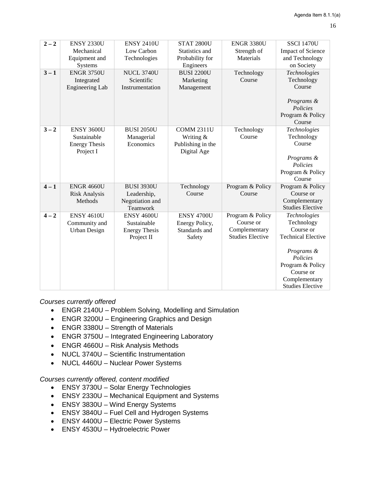| $2 - 2$ | <b>ENSY 2330U</b>      | <b>ENSY 2410U</b>    | <b>STAT 2800U</b> | <b>ENGR 3380U</b>       | <b>SSCI 1470U</b>         |
|---------|------------------------|----------------------|-------------------|-------------------------|---------------------------|
|         | Mechanical             | Low Carbon           | Statistics and    | Strength of             | <b>Impact of Science</b>  |
|         | Equipment and          | Technologies         | Probability for   | Materials               | and Technology            |
|         | Systems                |                      | Engineers         |                         | on Society                |
| $3 - 1$ | <b>ENGR 3750U</b>      | <b>NUCL 3740U</b>    | <b>BUSI 2200U</b> | Technology              | Technologies              |
|         | Integrated             | Scientific           | Marketing         | Course                  | Technology                |
|         | <b>Engineering Lab</b> | Instrumentation      | Management        |                         | Course                    |
|         |                        |                      |                   |                         |                           |
|         |                        |                      |                   |                         | Programs &                |
|         |                        |                      |                   |                         | Policies                  |
|         |                        |                      |                   |                         | Program & Policy          |
|         |                        |                      |                   |                         | Course                    |
| $3 - 2$ | <b>ENSY 3600U</b>      | <b>BUSI 2050U</b>    | <b>COMM 2311U</b> | Technology              | Technologies              |
|         | Sustainable            | Managerial           | Writing &         | Course                  | Technology                |
|         | <b>Energy Thesis</b>   | Economics            | Publishing in the |                         | Course                    |
|         | Project I              |                      | Digital Age       |                         |                           |
|         |                        |                      |                   |                         | Programs &                |
|         |                        |                      |                   |                         | Policies                  |
|         |                        |                      |                   |                         | Program & Policy          |
|         |                        |                      |                   |                         | Course                    |
| $4 - 1$ | <b>ENGR 4660U</b>      | <b>BUSI 3930U</b>    | Technology        | Program & Policy        | Program & Policy          |
|         | <b>Risk Analysis</b>   | Leadership,          | Course            | Course                  | Course or                 |
|         | Methods                | Negotiation and      |                   |                         | Complementary             |
|         |                        | Teamwork             |                   |                         | <b>Studies Elective</b>   |
| $4 - 2$ | <b>ENSY 4610U</b>      | <b>ENSY 4600U</b>    | <b>ENSY 4700U</b> | Program & Policy        | Technologies              |
|         | Community and          | Sustainable          | Energy Policy,    | Course or               | Technology                |
|         | <b>Urban Design</b>    | <b>Energy Thesis</b> | Standards and     | Complementary           | Course or                 |
|         |                        | Project II           | Safety            | <b>Studies Elective</b> | <b>Technical Elective</b> |
|         |                        |                      |                   |                         | Programs &                |
|         |                        |                      |                   |                         | Policies                  |
|         |                        |                      |                   |                         | Program & Policy          |
|         |                        |                      |                   |                         | Course or                 |
|         |                        |                      |                   |                         | Complementary             |
|         |                        |                      |                   |                         | <b>Studies Elective</b>   |
|         |                        |                      |                   |                         |                           |

*Courses currently offered*

- ENGR 2140U Problem Solving, Modelling and Simulation
- ENGR 3200U Engineering Graphics and Design
- ENGR 3380U Strength of Materials
- ENGR 3750U Integrated Engineering Laboratory
- ENGR 4660U Risk Analysis Methods
- NUCL 3740U Scientific Instrumentation
- NUCL 4460U Nuclear Power Systems

*Courses currently offered, content modified*

- ENSY 3730U Solar Energy Technologies
- ENSY 2330U Mechanical Equipment and Systems
- ENSY 3830U Wind Energy Systems
- ENSY 3840U Fuel Cell and Hydrogen Systems
- ENSY 4400U Electric Power Systems
- ENSY 4530U Hydroelectric Power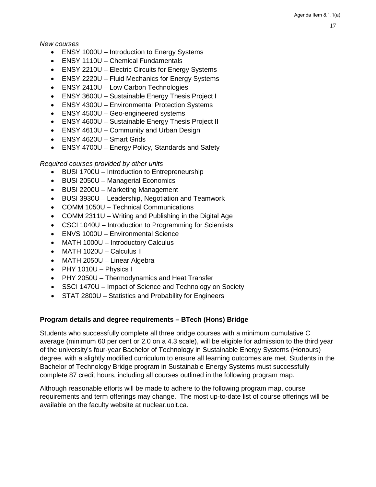*New courses*

- ENSY 1000U Introduction to Energy Systems
- ENSY 1110U Chemical Fundamentals
- ENSY 2210U Electric Circuits for Energy Systems
- ENSY 2220U Fluid Mechanics for Energy Systems
- ENSY 2410U Low Carbon Technologies
- ENSY 3600U Sustainable Energy Thesis Project I
- ENSY 4300U Environmental Protection Systems
- ENSY 4500U Geo-engineered systems
- ENSY 4600U Sustainable Energy Thesis Project II
- ENSY 4610U Community and Urban Design
- ENSY 4620U Smart Grids
- ENSY 4700U Energy Policy, Standards and Safety

### *Required courses provided by other units*

- BUSI 1700U Introduction to Entrepreneurship
- BUSI 2050U Managerial Economics
- BUSI 2200U Marketing Management
- BUSI 3930U Leadership, Negotiation and Teamwork
- COMM 1050U Technical Communications
- COMM 2311U Writing and Publishing in the Digital Age
- CSCI 1040U Introduction to Programming for Scientists
- ENVS 1000U Environmental Science
- MATH 1000U Introductory Calculus
- MATH 1020U Calculus II
- MATH 2050U Linear Algebra
- PHY 1010U Physics I
- PHY 2050U Thermodynamics and Heat Transfer
- SSCI 1470U Impact of Science and Technology on Society
- STAT 2800U Statistics and Probability for Engineers

### **Program details and degree requirements – BTech (Hons) Bridge**

Students who successfully complete all three bridge courses with a minimum cumulative C average (minimum 60 per cent or 2.0 on a 4.3 scale), will be eligible for admission to the third year of the university's four-year Bachelor of Technology in Sustainable Energy Systems (Honours) degree, with a slightly modified curriculum to ensure all learning outcomes are met. Students in the Bachelor of Technology Bridge program in Sustainable Energy Systems must successfully complete 87 credit hours, including all courses outlined in the following program map.

Although reasonable efforts will be made to adhere to the following program map, course requirements and term offerings may change. The most up-to-date list of course offerings will be available on the faculty website at nuclear.uoit.ca.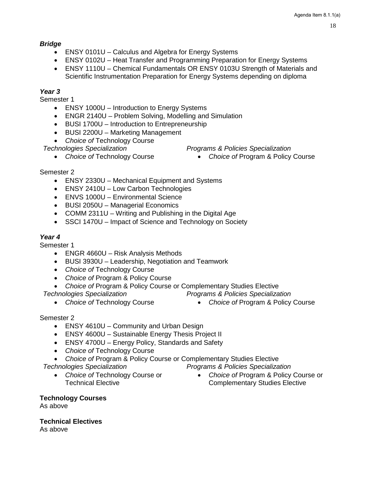18

### *Bridge*

- ENSY 0101U Calculus and Algebra for Energy Systems
- ENSY 0102U Heat Transfer and Programming Preparation for Energy Systems
- ENSY 1110U Chemical Fundamentals OR ENSY 0103U Strength of Materials and Scientific Instrumentation Preparation for Energy Systems depending on diploma

# *Year 3*

Semester 1

- ENSY 1000U Introduction to Energy Systems
- ENGR 2140U Problem Solving, Modelling and Simulation
- BUSI 1700U Introduction to Entrepreneurship
- BUSI 2200U Marketing Management
- *Choice of* Technology Course

*Technologies Specialization*

- *Choice of* Technology Course
- *Programs & Policies Specialization*
	- *Choice of* Program & Policy Course

## Semester 2

- ENSY 2330U Mechanical Equipment and Systems
- ENSY 2410U Low Carbon Technologies
- ENVS 1000U Environmental Science
- BUSI 2050U Managerial Economics
- COMM 2311U Writing and Publishing in the Digital Age
- SSCI 1470U Impact of Science and Technology on Society

## *Year 4*

Semester 1

- ENGR 4660U Risk Analysis Methods
- BUSI 3930U Leadership, Negotiation and Teamwork
- *Choice of* Technology Course
- *Choice of* Program & Policy Course
- *Choice of* Program & Policy Course or Complementary Studies Elective
- *Technologies Specialization*
	- *Choice of* Technology Course
- *Programs & Policies Specialization* • *Choice of* Program & Policy Course

Semester 2

- ENSY 4610U Community and Urban Design
- ENSY 4600U Sustainable Energy Thesis Project II
- ENSY 4700U Energy Policy, Standards and Safety
- *Choice of* Technology Course
- *Choice of* Program & Policy Course or Complementary Studies Elective

### *Technologies Specialization*

- *Choice of* Technology Course or Technical Elective
- *Programs & Policies Specialization* • *Choice of* Program & Policy Course or
	- Complementary Studies Elective

**Technology Courses** As above

**Technical Electives** As above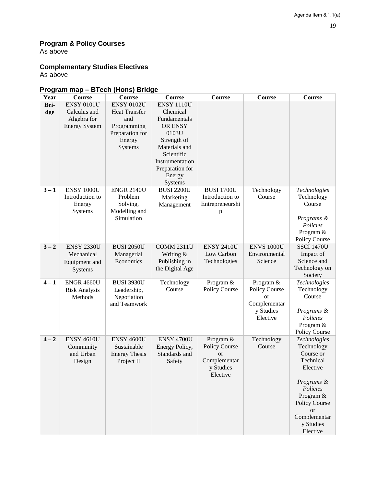# **Program & Policy Courses**

As above

# **Complementary Studies Electives**

As above

# **Program map – BTech (Hons) Bridge**

| Year    | Course               | Course                  | Course                           | <b>Course</b>        | <b>Course</b>     | Course                                    |
|---------|----------------------|-------------------------|----------------------------------|----------------------|-------------------|-------------------------------------------|
| Bri-    | <b>ENSY 0101U</b>    | <b>ENSY 0102U</b>       | <b>ENSY 1110U</b>                |                      |                   |                                           |
| dge     | Calculus and         | <b>Heat Transfer</b>    | Chemical                         |                      |                   |                                           |
|         | Algebra for          | and                     | Fundamentals                     |                      |                   |                                           |
|         | <b>Energy System</b> | Programming             | OR ENSY                          |                      |                   |                                           |
|         |                      | Preparation for         | 0103U                            |                      |                   |                                           |
|         |                      | Energy                  | Strength of                      |                      |                   |                                           |
|         |                      | Systems                 | Materials and                    |                      |                   |                                           |
|         |                      |                         | Scientific                       |                      |                   |                                           |
|         |                      |                         | Instrumentation                  |                      |                   |                                           |
|         |                      |                         | Preparation for                  |                      |                   |                                           |
|         |                      |                         | Energy                           |                      |                   |                                           |
|         |                      |                         | Systems                          |                      |                   |                                           |
| $3 - 1$ | ENSY 1000U           | <b>ENGR 2140U</b>       | <b>BUSI 2200U</b>                | <b>BUSI 1700U</b>    | Technology        | Technologies                              |
|         | Introduction to      | Problem                 | Marketing                        | Introduction to      | Course            | Technology                                |
|         | Energy               | Solving,                | Management                       | Entrepreneurshi      |                   | Course                                    |
|         | Systems              | Modelling and           |                                  | p                    |                   |                                           |
|         |                      | Simulation              |                                  |                      |                   | Programs &                                |
|         |                      |                         |                                  |                      |                   | Policies                                  |
|         |                      |                         |                                  |                      |                   | Program &                                 |
| $3 - 2$ | <b>ENSY 2330U</b>    | <b>BUSI 2050U</b>       | <b>COMM 2311U</b>                | <b>ENSY 2410U</b>    | <b>ENVS 1000U</b> | <b>Policy Course</b><br><b>SSCI 1470U</b> |
|         | Mechanical           |                         |                                  | Low Carbon           | Environmental     | Impact of                                 |
|         |                      | Managerial<br>Economics | Writing &                        | Technologies         | Science           | Science and                               |
|         | Equipment and        |                         | Publishing in<br>the Digital Age |                      |                   | Technology on                             |
|         | Systems              |                         |                                  |                      |                   | Society                                   |
| $4 - 1$ | <b>ENGR 4660U</b>    | <b>BUSI 3930U</b>       | Technology                       | Program &            | Program &         | Technologies                              |
|         | <b>Risk Analysis</b> | Leadership,             | Course                           | Policy Course        | Policy Course     | Technology                                |
|         | Methods              | Negotiation             |                                  |                      | <b>or</b>         | Course                                    |
|         |                      | and Teamwork            |                                  |                      | Complementar      |                                           |
|         |                      |                         |                                  |                      | y Studies         | Programs &                                |
|         |                      |                         |                                  |                      | Elective          | Policies                                  |
|         |                      |                         |                                  |                      |                   | Program &                                 |
|         |                      |                         |                                  |                      |                   | Policy Course                             |
| $4 - 2$ | <b>ENSY 4610U</b>    | <b>ENSY 4600U</b>       | <b>ENSY 4700U</b>                | Program &            | Technology        | Technologies                              |
|         | Community            | Sustainable             | Energy Policy,                   | <b>Policy Course</b> | Course            | Technology                                |
|         | and Urban            | <b>Energy Thesis</b>    | Standards and                    | <sub>or</sub>        |                   | Course or                                 |
|         | Design               | Project II              | Safety                           | Complementar         |                   | Technical                                 |
|         |                      |                         |                                  | y Studies            |                   | Elective                                  |
|         |                      |                         |                                  | Elective             |                   |                                           |
|         |                      |                         |                                  |                      |                   | Programs &                                |
|         |                      |                         |                                  |                      |                   | Policies                                  |
|         |                      |                         |                                  |                      |                   | Program &                                 |
|         |                      |                         |                                  |                      |                   | Policy Course                             |
|         |                      |                         |                                  |                      |                   | <b>or</b>                                 |
|         |                      |                         |                                  |                      |                   | Complementar                              |
|         |                      |                         |                                  |                      |                   | y Studies                                 |
|         |                      |                         |                                  |                      |                   | Elective                                  |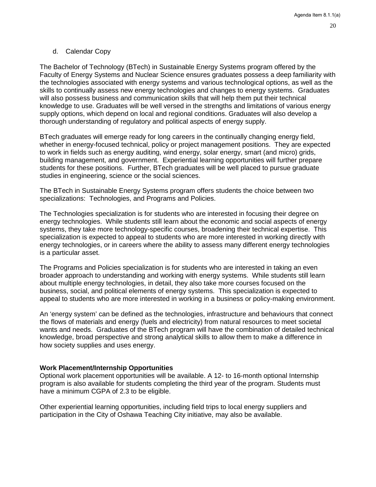### <span id="page-19-0"></span>d. Calendar Copy

The Bachelor of Technology (BTech) in Sustainable Energy Systems program offered by the Faculty of Energy Systems and Nuclear Science ensures graduates possess a deep familiarity with the technologies associated with energy systems and various technological options, as well as the skills to continually assess new energy technologies and changes to energy systems. Graduates will also possess business and communication skills that will help them put their technical knowledge to use. Graduates will be well versed in the strengths and limitations of various energy supply options, which depend on local and regional conditions. Graduates will also develop a thorough understanding of regulatory and political aspects of energy supply.

BTech graduates will emerge ready for long careers in the continually changing energy field, whether in energy-focused technical, policy or project management positions. They are expected to work in fields such as energy auditing, wind energy, solar energy, smart (and micro) grids, building management, and government. Experiential learning opportunities will further prepare students for these positions. Further, BTech graduates will be well placed to pursue graduate studies in engineering, science or the social sciences.

The BTech in Sustainable Energy Systems program offers students the choice between two specializations: Technologies, and Programs and Policies.

The Technologies specialization is for students who are interested in focusing their degree on energy technologies. While students still learn about the economic and social aspects of energy systems, they take more technology-specific courses, broadening their technical expertise. This specialization is expected to appeal to students who are more interested in working directly with energy technologies, or in careers where the ability to assess many different energy technologies is a particular asset.

The Programs and Policies specialization is for students who are interested in taking an even broader approach to understanding and working with energy systems. While students still learn about multiple energy technologies, in detail, they also take more courses focused on the business, social, and political elements of energy systems. This specialization is expected to appeal to students who are more interested in working in a business or policy-making environment.

An 'energy system' can be defined as the technologies, infrastructure and behaviours that connect the flows of materials and energy (fuels and electricity) from natural resources to meet societal wants and needs. Graduates of the BTech program will have the combination of detailed technical knowledge, broad perspective and strong analytical skills to allow them to make a difference in how society supplies and uses energy.

### **Work Placement/Internship Opportunities**

Optional work placement opportunities will be available. A 12- to 16-month optional Internship program is also available for students completing the third year of the program. Students must have a minimum CGPA of 2.3 to be eligible.

Other experiential learning opportunities, including field trips to local energy suppliers and participation in the City of Oshawa Teaching City initiative, may also be available.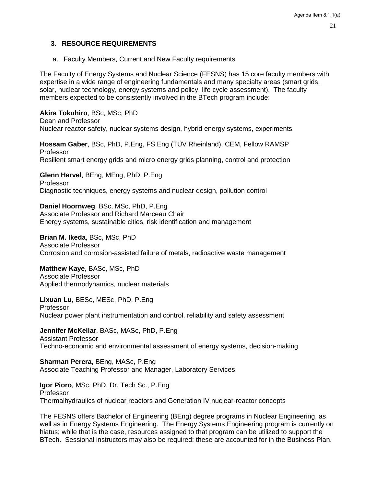### <span id="page-20-0"></span>**3. RESOURCE REQUIREMENTS**

<span id="page-20-1"></span>a. Faculty Members, Current and New Faculty requirements

The Faculty of Energy Systems and Nuclear Science (FESNS) has 15 core faculty members with expertise in a wide range of engineering fundamentals and many specialty areas (smart grids, solar, nuclear technology, energy systems and policy, life cycle assessment). The faculty members expected to be consistently involved in the BTech program include:

**Akira Tokuhiro**, BSc, MSc, PhD Dean and Professor Nuclear reactor safety, nuclear systems design, hybrid energy systems, experiments

**Hossam Gaber**, BSc, PhD, P.Eng, FS Eng (TÜV Rheinland), CEM, Fellow RAMSP Professor Resilient smart energy grids and micro energy grids planning, control and protection

**Glenn Harvel**, BEng, MEng, PhD, P.Eng Professor Diagnostic techniques, energy systems and nuclear design, pollution control

**Daniel Hoornweg**, BSc, MSc, PhD, P.Eng Associate Professor and Richard Marceau Chair Energy systems, sustainable cities, risk identification and management

**Brian M. Ikeda**, BSc, MSc, PhD Associate Professor Corrosion and corrosion-assisted failure of metals, radioactive waste management

**Matthew Kaye**, BASc, MSc, PhD Associate Professor Applied thermodynamics, nuclear materials

**Lixuan Lu**, BESc, MESc, PhD, P.Eng Professor Nuclear power plant instrumentation and control, reliability and safety assessment

**Jennifer McKellar**, BASc, MASc, PhD, P.Eng Assistant Professor Techno-economic and environmental assessment of energy systems, decision-making

**Sharman Perera,** BEng, MASc, P.Eng Associate Teaching Professor and Manager, Laboratory Services

**Igor Pioro**, MSc, PhD, Dr. Tech Sc., P.Eng Professor Thermalhydraulics of nuclear reactors and Generation IV nuclear-reactor concepts

The FESNS offers Bachelor of Engineering (BEng) degree programs in Nuclear Engineering, as well as in Energy Systems Engineering. The Energy Systems Engineering program is currently on hiatus; while that is the case, resources assigned to that program can be utilized to support the BTech. Sessional instructors may also be required; these are accounted for in the Business Plan.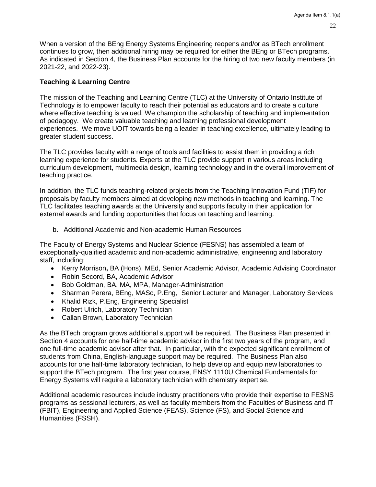22

When a version of the BEng Energy Systems Engineering reopens and/or as BTech enrollment continues to grow, then additional hiring may be required for either the BEng or BTech programs. As indicated in Section 4, the Business Plan accounts for the hiring of two new faculty members (in 2021-22, and 2022-23).

### **Teaching & Learning Centre**

The mission of the Teaching and Learning Centre (TLC) at the University of Ontario Institute of Technology is to empower faculty to reach their potential as educators and to create a culture where effective teaching is valued. We champion the scholarship of teaching and implementation of pedagogy. We create valuable teaching and learning professional development experiences. We move UOIT towards being a leader in teaching excellence, ultimately leading to greater student success.

The TLC provides faculty with a range of tools and facilities to assist them in providing a rich learning experience for students. Experts at the TLC provide support in various areas including curriculum development, multimedia design, learning technology and in the overall improvement of teaching practice.

In addition, the TLC funds teaching-related projects from the Teaching Innovation Fund (TIF) for proposals by faculty members aimed at developing new methods in teaching and learning. The TLC facilitates teaching awards at the University and supports faculty in their application for external awards and funding opportunities that focus on teaching and learning.

<span id="page-21-0"></span>b. Additional Academic and Non-academic Human Resources

The Faculty of Energy Systems and Nuclear Science (FESNS) has assembled a team of exceptionally-qualified academic and non-academic administrative, engineering and laboratory staff, including:

- Kerry Morrison**,** BA (Hons), MEd, Senior Academic Advisor, Academic Advising Coordinator
- Robin Secord, BA, Academic Advisor
- Bob Goldman, BA, MA, MPA, Manager-Administration
- Sharman Perera, BEng, MASc, P.Eng, Senior Lecturer and Manager, Laboratory Services
- Khalid Rizk, P.Eng, Engineering Specialist
- Robert Ulrich, Laboratory Technician
- Callan Brown, Laboratory Technician

As the BTech program grows additional support will be required. The Business Plan presented in Section 4 accounts for one half-time academic advisor in the first two years of the program, and one full-time academic advisor after that. In particular, with the expected significant enrollment of students from China, English-language support may be required. The Business Plan also accounts for one half-time laboratory technician, to help develop and equip new laboratories to support the BTech program. The first year course, ENSY 1110U Chemical Fundamentals for Energy Systems will require a laboratory technician with chemistry expertise.

Additional academic resources include industry practitioners who provide their expertise to FESNS programs as sessional lecturers, as well as faculty members from the Faculties of Business and IT (FBIT), Engineering and Applied Science (FEAS), Science (FS), and Social Science and Humanities (FSSH).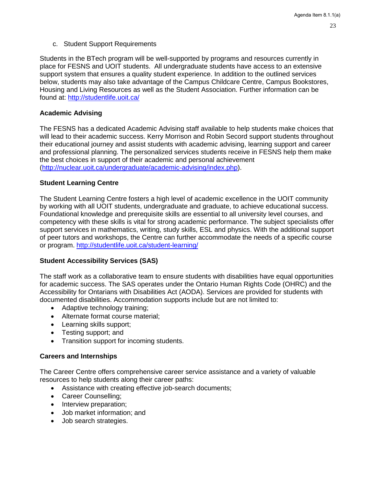<span id="page-22-0"></span>c. Student Support Requirements

Students in the BTech program will be well-supported by programs and resources currently in place for FESNS and UOIT students. All undergraduate students have access to an extensive support system that ensures a quality student experience. In addition to the outlined services below, students may also take advantage of the Campus Childcare Centre, Campus Bookstores, Housing and Living Resources as well as the Student Association. Further information can be found at:<http://studentlife.uoit.ca/>

### **Academic Advising**

The FESNS has a dedicated Academic Advising staff available to help students make choices that will lead to their academic success. Kerry Morrison and Robin Secord support students throughout their educational journey and assist students with academic advising, learning support and career and professional planning. The personalized services students receive in FESNS help them make the best choices in support of their academic and personal achievement [\(http://nuclear.uoit.ca/undergraduate/academic-advising/index.php\)](http://nuclear.uoit.ca/undergraduate/academic-advising/index.php).

### **Student Learning Centre**

The Student Learning Centre fosters a high level of academic excellence in the UOIT community by working with all UOIT students, undergraduate and graduate, to achieve educational success. Foundational knowledge and prerequisite skills are essential to all university level courses, and competency with these skills is vital for strong academic performance. The subject specialists offer support services in mathematics, writing, study skills, ESL and physics. With the additional support of peer tutors and workshops, the Centre can further accommodate the needs of a specific course or program. <http://studentlife.uoit.ca/student-learning/>

### **Student Accessibility Services (SAS)**

The staff work as a collaborative team to ensure students with disabilities have equal opportunities for academic success. The SAS operates under the Ontario Human Rights Code (OHRC) and the Accessibility for Ontarians with Disabilities Act (AODA). Services are provided for students with documented disabilities. Accommodation supports include but are not limited to:

- Adaptive technology training;
- Alternate format course material;
- Learning skills support;
- Testing support; and
- Transition support for incoming students.

### **Careers and Internships**

The Career Centre offers comprehensive career service assistance and a variety of valuable resources to help students along their career paths:

- Assistance with creating effective job-search documents;
- Career Counselling;
- Interview preparation;
- Job market information; and
- Job search strategies.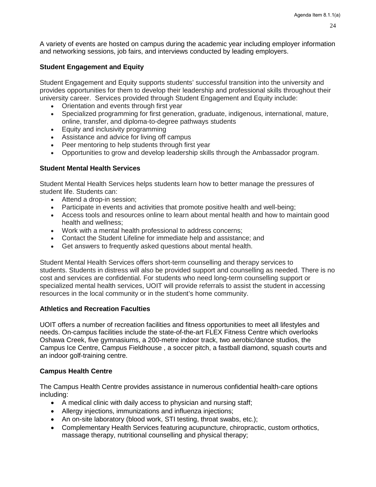A variety of events are hosted on campus during the academic year including employer information and networking sessions, job fairs, and interviews conducted by leading employers.

### **Student Engagement and Equity**

Student Engagement and Equity supports students' successful transition into the university and provides opportunities for them to develop their leadership and professional skills throughout their university career. Services provided through Student Engagement and Equity include:

- Orientation and events through first year
- Specialized programming for first generation, graduate, indigenous, international, mature, online, transfer, and diploma-to-degree pathways students
- Equity and inclusivity programming
- Assistance and advice for living off campus
- Peer mentoring to help students through first year
- Opportunities to grow and develop leadership skills through the Ambassador program.

### **Student Mental Health Services**

Student Mental Health Services helps students learn how to better manage the pressures of student life. Students can:

- Attend a drop-in session;
- Participate in events and activities that promote positive health and well-being;
- Access tools and resources online to learn about mental health and how to maintain good health and wellness;
- Work with a mental health professional to address concerns;
- Contact the Student Lifeline for immediate help and assistance; and
- Get answers to frequently asked questions about mental health.

Student Mental Health Services offers short-term counselling and therapy services to students. Students in distress will also be provided support and counselling as needed. There is no cost and services are confidential. For students who need long-term counselling support or specialized mental health services, UOIT will provide referrals to assist the student in accessing resources in the local community or in the student's home community.

### **Athletics and Recreation Faculties**

UOIT offers a number of recreation facilities and fitness opportunities to meet all lifestyles and needs. On-campus facilities include the state-of-the-art FLEX Fitness Centre which overlooks Oshawa Creek, five gymnasiums, a 200-metre indoor track, two aerobic/dance studios, the Campus Ice Centre, Campus Fieldhouse , a soccer pitch, a fastball diamond, squash courts and an indoor golf-training centre.

### **Campus Health Centre**

The Campus Health Centre provides assistance in numerous confidential health-care options including:

- A medical clinic with daily access to physician and nursing staff;
- Allergy injections, immunizations and influenza injections;
- An on-site laboratory (blood work, STI testing, throat swabs, etc.);
- Complementary Health Services featuring acupuncture, chiropractic, custom orthotics, massage therapy, nutritional counselling and physical therapy;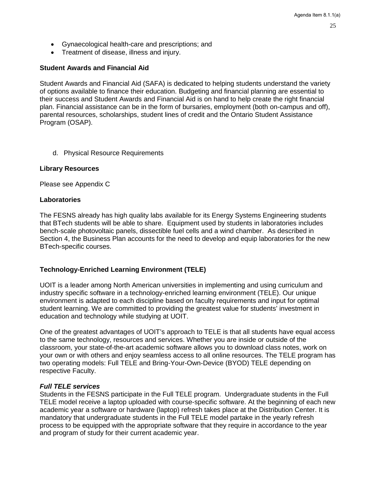- Gynaecological health-care and prescriptions; and
- Treatment of disease, illness and injury.

# **Student Awards and Financial Aid**

Student Awards and Financial Aid (SAFA) is dedicated to helping students understand the variety of options available to finance their education. Budgeting and financial planning are essential to their success and Student Awards and Financial Aid is on hand to help create the right financial plan. Financial assistance can be in the form of bursaries, employment (both on-campus and off), parental resources, scholarships, student lines of credit and the Ontario Student Assistance Program (OSAP).

<span id="page-24-0"></span>d. Physical Resource Requirements

## **Library Resources**

Please see Appendix C

## **Laboratories**

The FESNS already has high quality labs available for its Energy Systems Engineering students that BTech students will be able to share. Equipment used by students in laboratories includes bench-scale photovoltaic panels, dissectible fuel cells and a wind chamber. As described in Section 4, the Business Plan accounts for the need to develop and equip laboratories for the new BTech-specific courses.

### **Technology-Enriched Learning Environment (TELE)**

UOIT is a leader among North American universities in implementing and using curriculum and industry specific software in a technology-enriched learning environment (TELE). Our unique environment is adapted to each discipline based on faculty requirements and input for optimal student learning. We are committed to providing the greatest value for students' investment in education and technology while studying at UOIT.

One of the greatest advantages of UOIT's approach to TELE is that all students have equal access to the same technology, resources and services. Whether you are inside or outside of the classroom, your state-of-the-art academic software allows you to download class notes, work on your own or with others and enjoy seamless access to all online resources. The TELE program has two operating models: Full TELE and Bring-Your-Own-Device (BYOD) TELE depending on respective Faculty.

### *Full TELE services*

Students in the FESNS participate in the Full TELE program. Undergraduate students in the Full TELE model receive a laptop uploaded with course-specific software. At the beginning of each new academic year a software or hardware (laptop) refresh takes place at the Distribution Center. It is mandatory that undergraduate students in the Full TELE model partake in the yearly refresh process to be equipped with the appropriate software that they require in accordance to the year and program of study for their current academic year.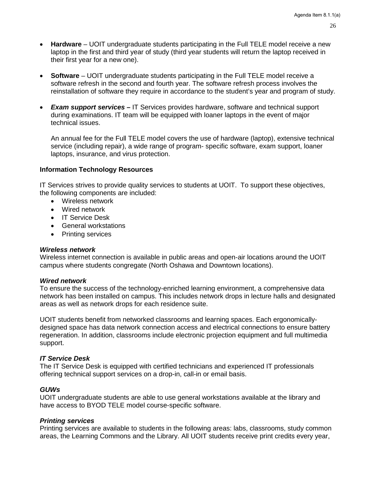26

- **Hardware**  UOIT undergraduate students participating in the Full TELE model receive a new laptop in the first and third year of study (third year students will return the laptop received in their first year for a new one).
- **Software** UOIT undergraduate students participating in the Full TELE model receive a software refresh in the second and fourth year. The software refresh process involves the reinstallation of software they require in accordance to the student's year and program of study.
- *Exam support services* IT Services provides hardware, software and technical support during examinations. IT team will be equipped with loaner laptops in the event of major technical issues.

An annual fee for the Full TELE model covers the use of hardware (laptop), extensive technical service (including repair), a wide range of program- specific software, exam support, loaner laptops, insurance, and virus protection.

### **Information Technology Resources**

IT Services strives to provide quality services to students at UOIT. To support these objectives, the following components are included:

- Wireless network
- Wired network
- IT Service Desk
- General workstations
- Printing services

### *Wireless network*

Wireless internet connection is available in public areas and open-air locations around the UOIT campus where students congregate (North Oshawa and Downtown locations).

### *Wired network*

To ensure the success of the technology-enriched learning environment, a comprehensive data network has been installed on campus. This includes network drops in lecture halls and designated areas as well as network drops for each residence suite.

UOIT students benefit from networked classrooms and learning spaces. Each ergonomicallydesigned space has data network connection access and electrical connections to ensure battery regeneration. In addition, classrooms include electronic projection equipment and full multimedia support.

### *IT Service Desk*

The IT Service Desk is equipped with certified technicians and experienced IT professionals offering technical support services on a drop-in, call-in or email basis.

### *GUWs*

UOIT undergraduate students are able to use general workstations available at the library and have access to BYOD TELE model course-specific software.

### *Printing services*

Printing services are available to students in the following areas: labs, classrooms, study common areas, the Learning Commons and the Library. All UOIT students receive print credits every year,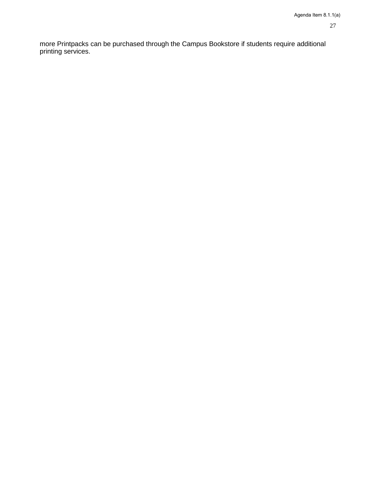more Printpacks can be purchased through the Campus Bookstore if students require additional printing services.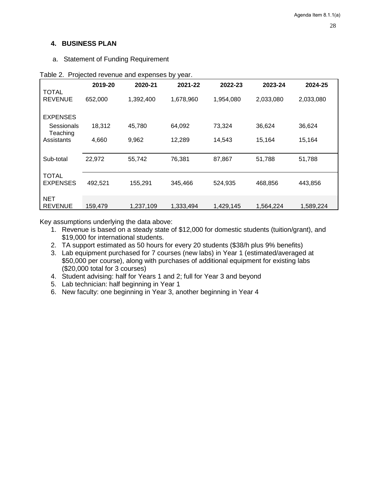# <span id="page-27-0"></span>**4. BUSINESS PLAN**

<span id="page-27-1"></span>a. Statement of Funding Requirement

|                                 | 2019-20 | 2020-21   | 2021-22   | 2022-23   | 2023-24   | 2024-25   |
|---------------------------------|---------|-----------|-----------|-----------|-----------|-----------|
| <b>TOTAL</b><br><b>REVENUE</b>  | 652,000 | 1,392,400 | 1,678,960 | 1,954,080 | 2,033,080 | 2,033,080 |
| <b>EXPENSES</b>                 |         |           |           |           |           |           |
| Sessionals<br>Teaching          | 18,312  | 45,780    | 64,092    | 73,324    | 36,624    | 36,624    |
| Assistants                      | 4,660   | 9,962     | 12,289    | 14,543    | 15,164    | 15,164    |
| Sub-total                       | 22,972  | 55,742    | 76,381    | 87,867    | 51,788    | 51,788    |
| <b>TOTAL</b><br><b>EXPENSES</b> | 492,521 | 155,291   | 345,466   | 524,935   | 468,856   | 443,856   |
| <b>NET</b><br><b>REVENUE</b>    | 159,479 | 1,237,109 | 1,333,494 | 1,429,145 | 1.564.224 | 1,589,224 |

Table 2. Projected revenue and expenses by year.

Key assumptions underlying the data above:

- 1. Revenue is based on a steady state of \$12,000 for domestic students (tuition/grant), and \$19,000 for international students.
- 2. TA support estimated as 50 hours for every 20 students (\$38/h plus 9% benefits)
- 3. Lab equipment purchased for 7 courses (new labs) in Year 1 (estimated/averaged at \$50,000 per course), along with purchases of additional equipment for existing labs (\$20,000 total for 3 courses)
- 4. Student advising: half for Years 1 and 2; full for Year 3 and beyond
- 5. Lab technician: half beginning in Year 1
- 6. New faculty: one beginning in Year 3, another beginning in Year 4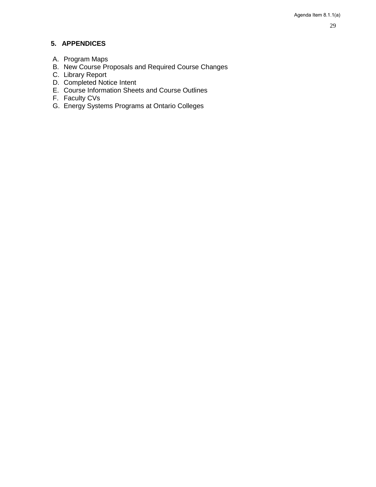# <span id="page-28-0"></span>**5. APPENDICES**

- <span id="page-28-1"></span>A. Program Maps
- <span id="page-28-2"></span>B. New Course Proposals and Required Course Changes
- <span id="page-28-3"></span>C. Library Report
- <span id="page-28-4"></span>D. Completed Notice Intent
- <span id="page-28-5"></span>E. Course Information Sheets and Course Outlines
- <span id="page-28-6"></span>F. Faculty CVs
- <span id="page-28-7"></span>G. Energy Systems Programs at Ontario Colleges